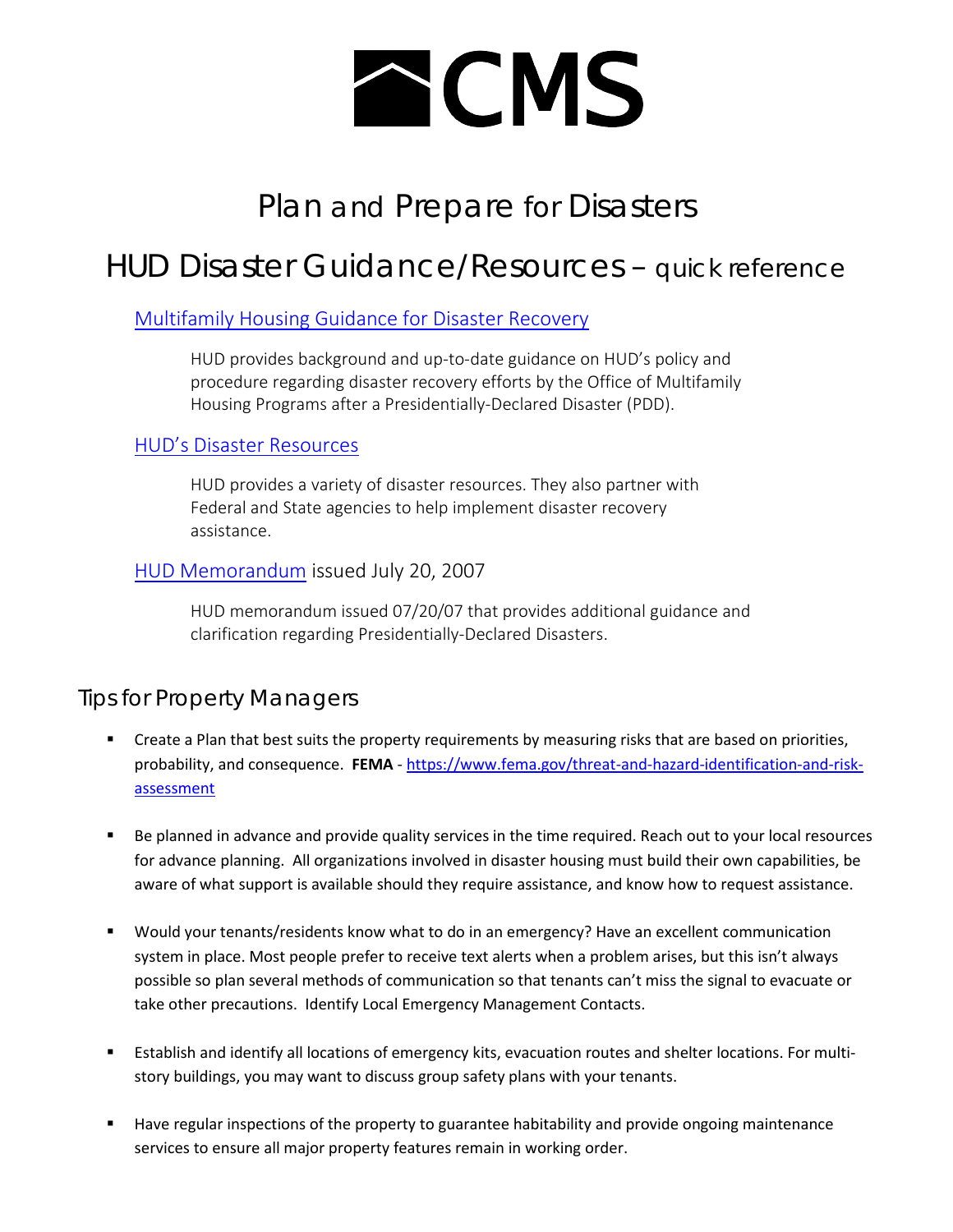# **ACMS**

# Plan and Prepare for Disasters

## HUD Disaster Guidance/Resources – quick reference

### [Multifamily Housing Guidance for Disaster Recovery](https://www.hud.gov/program_offices/housing/mfh/disasterguide)

HUD provides background and up-to-date guidance on HUD's policy and procedure regarding disaster recovery efforts by the Office of Multifamily Housing Programs after a Presidentially-Declared Disaster (PDD).

#### [HUD's Disaster Resources](https://www.hud.gov/info/disasterresources)

HUD provides a variety of disaster resources. They also partner with Federal and State agencies to help implement disaster recovery assistance.

#### HUD Memorandum issued July 20, 2007

HUD memorandum issued 07/20/07 that provides additional guidance and clarification regarding Presidentially-Declared Disasters.

### Tips for Property Managers

- **•** Create a Plan that best suits the property requirements by measuring risks that are based on priorities, probability, and consequence. **FEMA** - [https://www.fema.gov/threat-and-hazard-identification-and-risk](https://www.fema.gov/threat-and-hazard-identification-and-risk-assessment)[assessment](https://www.fema.gov/threat-and-hazard-identification-and-risk-assessment)
- Be planned in advance and provide quality services in the time required. Reach out to your local resources for advance planning. All organizations involved in disaster housing must build their own capabilities, be aware of what support is available should they require assistance, and know how to request assistance.
- Would your tenants/residents know what to do in an emergency? Have an excellent communication system in place. Most people prefer to receive text alerts when a problem arises, but this isn't always possible so plan several methods of communication so that tenants can't miss the signal to evacuate or take other precautions. Identify Local Emergency Management Contacts.
- Establish and identify all locations of emergency kits, evacuation routes and shelter locations. For multistory buildings, you may want to discuss group safety plans with your tenants.
- Have regular inspections of the property to guarantee habitability and provide ongoing maintenance services to ensure all major property features remain in working order.